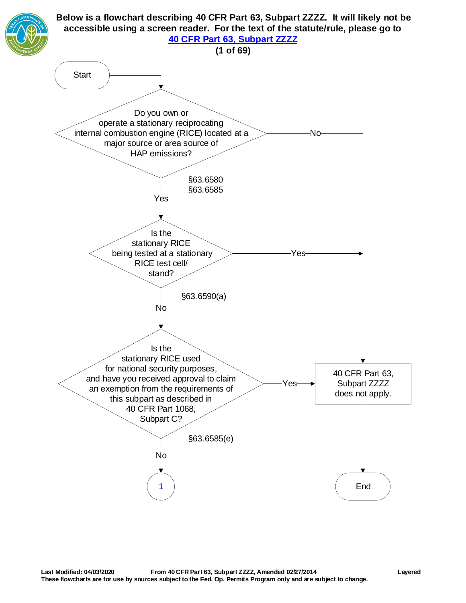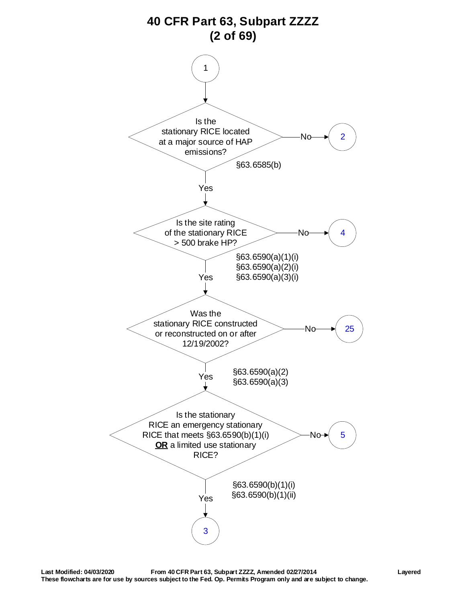<span id="page-1-0"></span>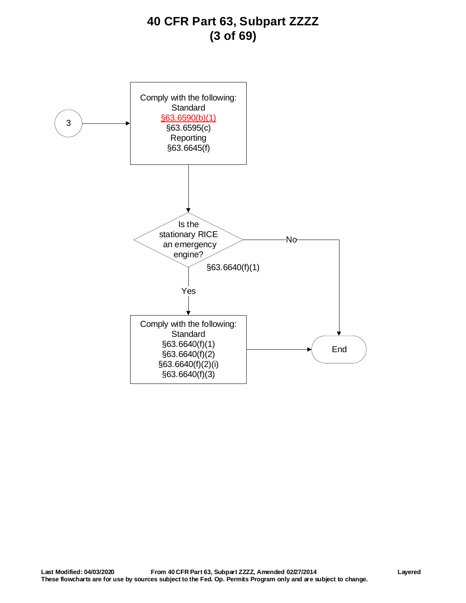# **40 CFR Part 63, Subpart ZZZZ (3 of 69)**

<span id="page-2-0"></span>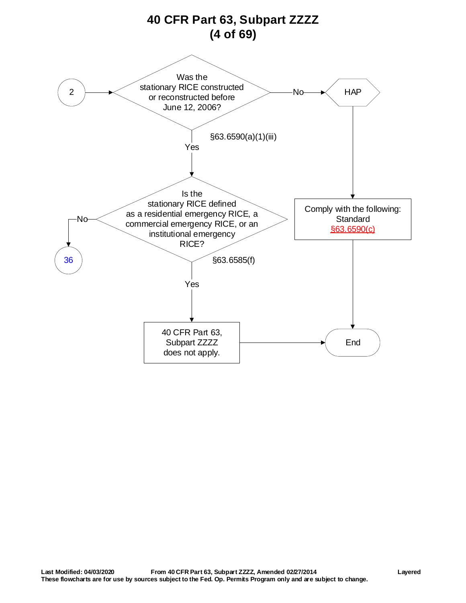<span id="page-3-0"></span>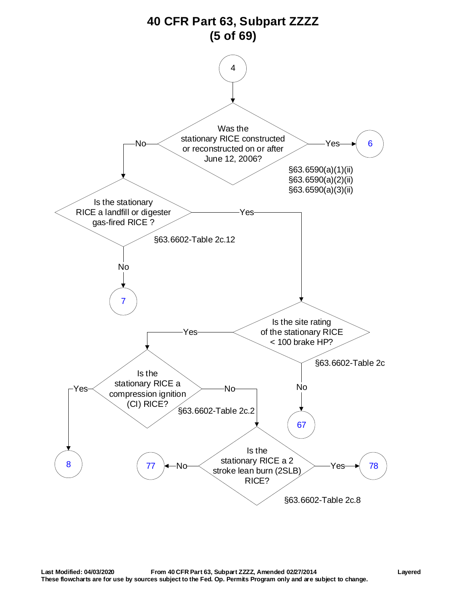<span id="page-4-0"></span>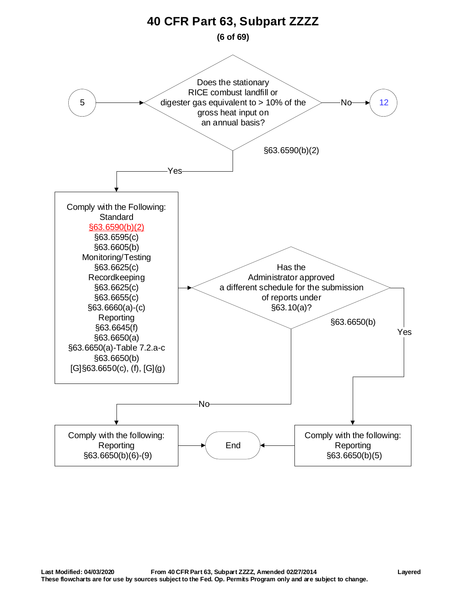<span id="page-5-0"></span>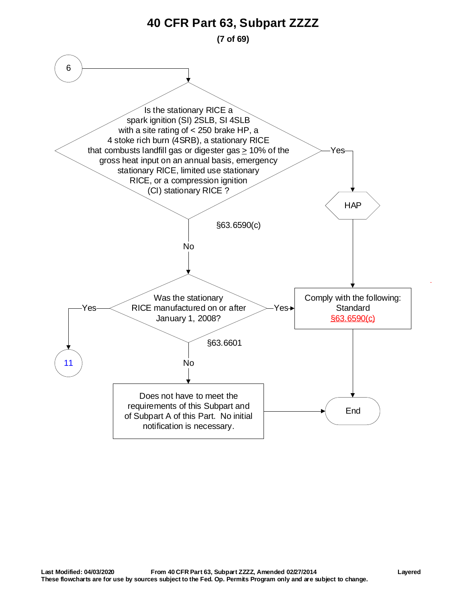<span id="page-6-0"></span>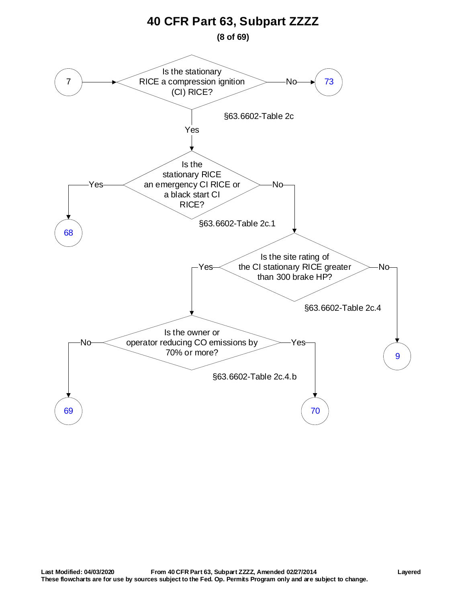<span id="page-7-0"></span>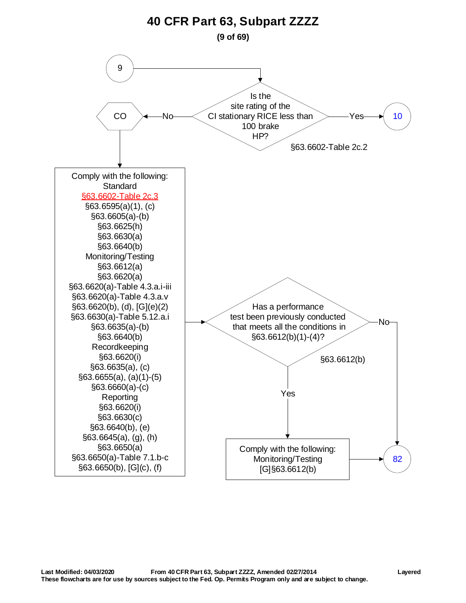<span id="page-8-0"></span>![](_page_8_Figure_0.jpeg)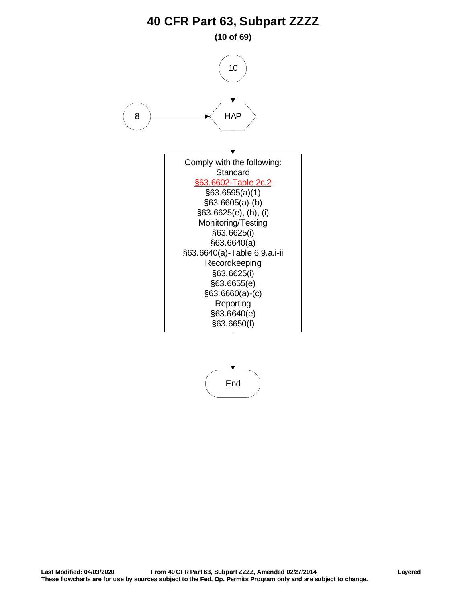**(10 of 69)**

<span id="page-9-1"></span><span id="page-9-0"></span>![](_page_9_Figure_2.jpeg)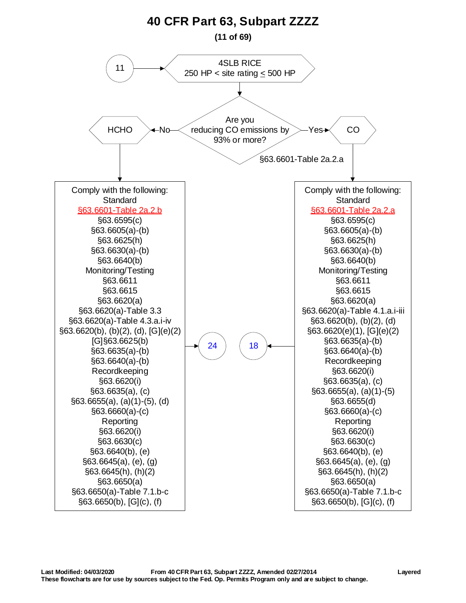<span id="page-10-0"></span>![](_page_10_Figure_0.jpeg)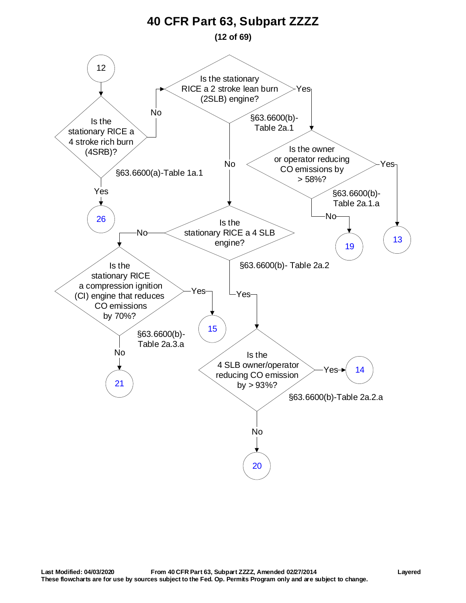<span id="page-11-0"></span>![](_page_11_Figure_0.jpeg)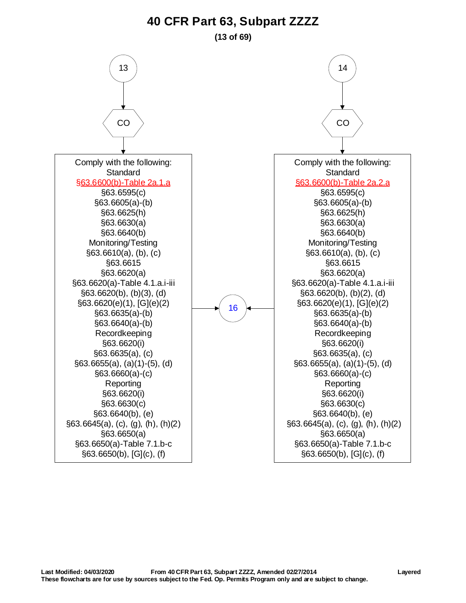#### **(13 of 69)**

<span id="page-12-0"></span>![](_page_12_Figure_2.jpeg)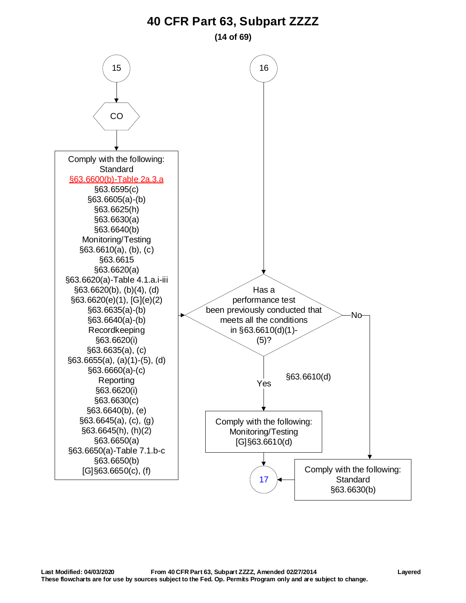**(14 of 69)**

<span id="page-13-0"></span>![](_page_13_Figure_2.jpeg)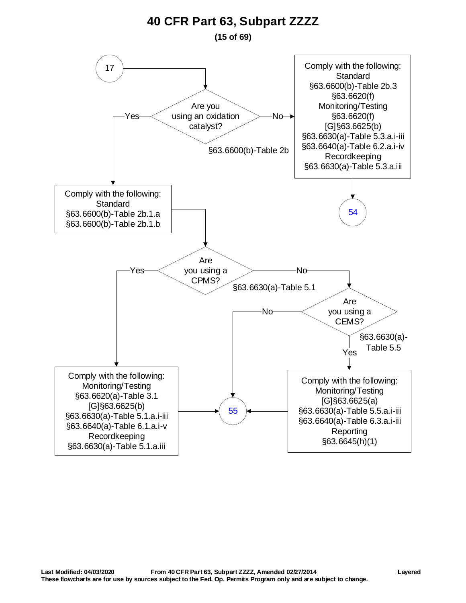#### **(15 of 69)**

<span id="page-14-0"></span>![](_page_14_Figure_2.jpeg)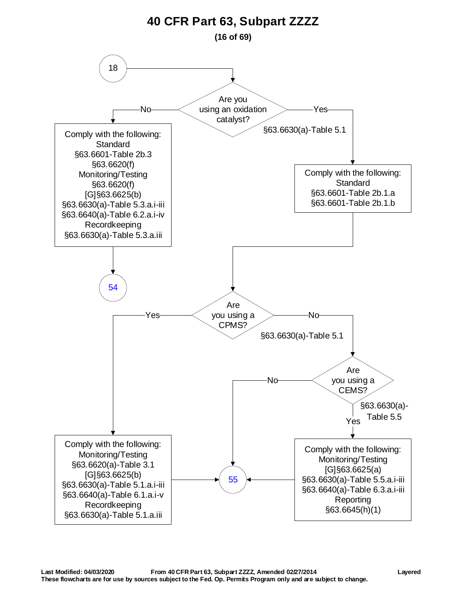<span id="page-15-0"></span>![](_page_15_Figure_0.jpeg)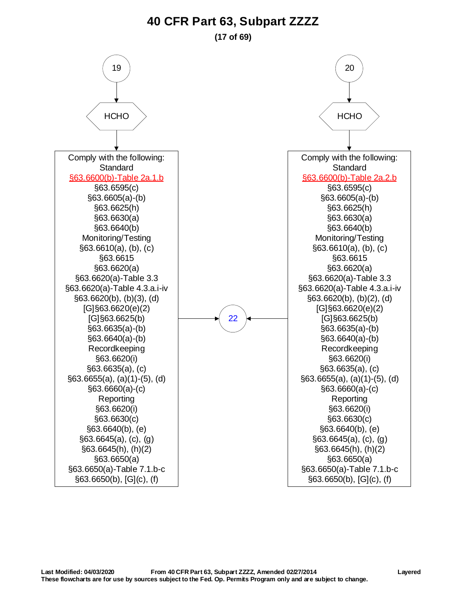#### **(17 of 69)**

<span id="page-16-0"></span>![](_page_16_Figure_2.jpeg)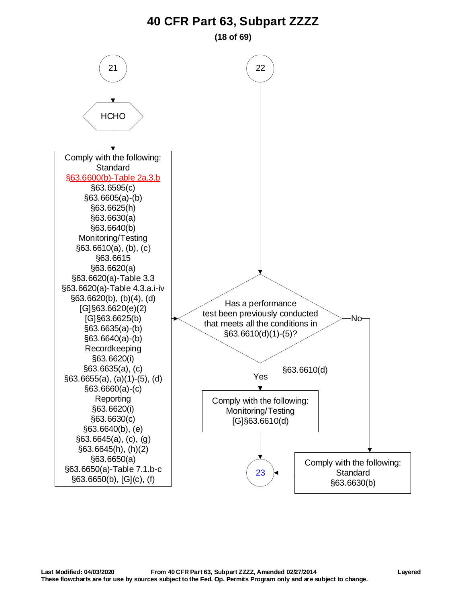**(18 of 69)**

<span id="page-17-0"></span>![](_page_17_Figure_2.jpeg)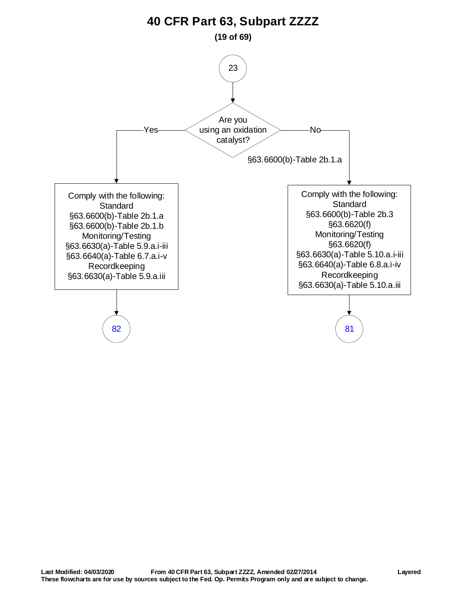<span id="page-18-0"></span>![](_page_18_Figure_0.jpeg)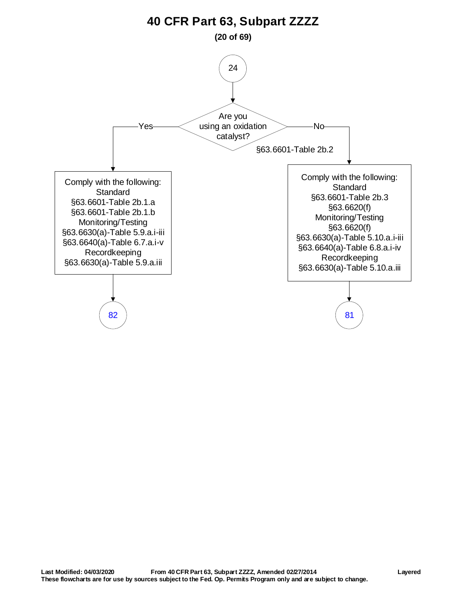<span id="page-19-0"></span>![](_page_19_Figure_0.jpeg)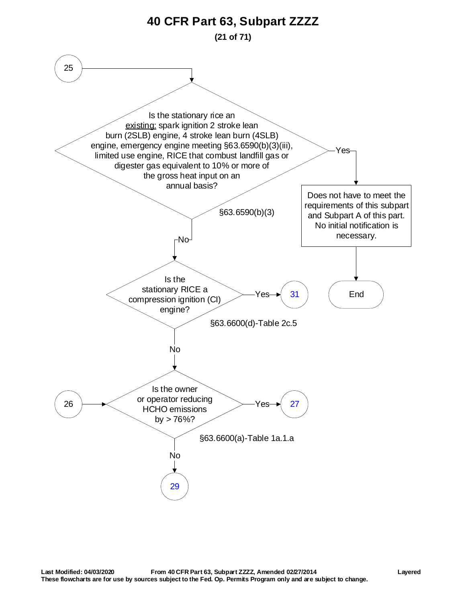<span id="page-20-1"></span><span id="page-20-0"></span>![](_page_20_Figure_0.jpeg)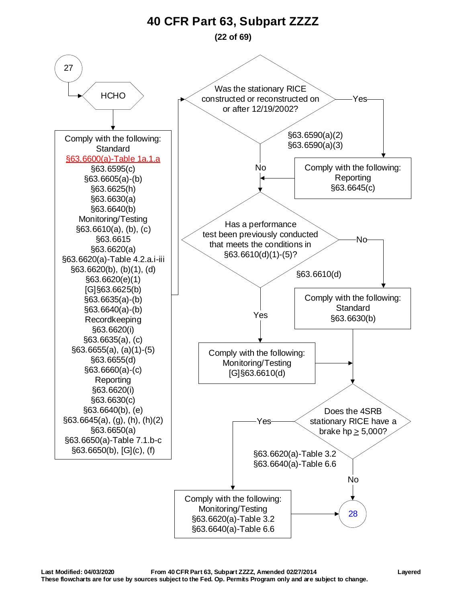**(22 of 69)**

<span id="page-21-0"></span>![](_page_21_Figure_2.jpeg)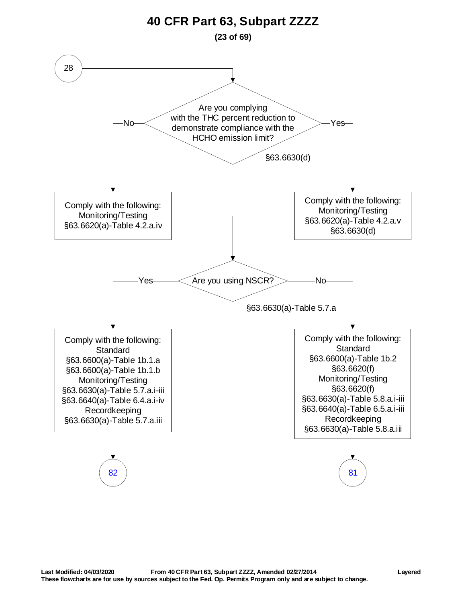<span id="page-22-0"></span>![](_page_22_Figure_0.jpeg)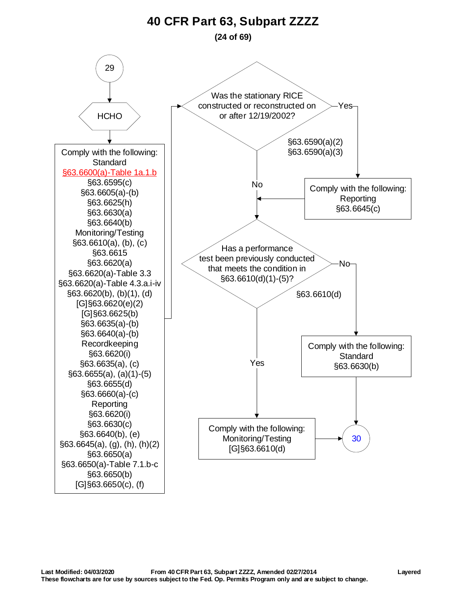#### <span id="page-23-0"></span>29 Comply with the following: **Standard** [§63.6600\(a\)-Table 1a.1.b](https://www.tceq.texas.gov/downloads/permitting/air-rules/federal/40-cfr-63/r63zzzz.pdf#page=2) §63.6595(c) §63.6605(a)-(b) §63.6625(h) §63.6630(a) §63.6640(b) Monitoring/Testing §63.6610(a), (b), (c) §63.6615 §63.6620(a) §63.6620(a)-Table 3.3 §63.6620(a)-Table 4.3.a.i-iv §63.6620(b), (b)(1), (d) [G]§63.6620(e)(2) [G]§63.6625(b) §63.6635(a)-(b) §63.6640(a)-(b) Recordkeeping §63.6620(i) §63.6635(a), (c) §63.6655(a), (a)(1)-(5) §63.6655(d) §63.6660(a)-(c) Reporting §63.6620(i) §63.6630(c) §63.6640(b), (e) §63.6645(a), (g), (h), (h)(2) §63.6650(a) §63.6650(a)-Table 7.1.b-c §63.6650(b)  $[G]$ §63.6650(c), (f) Has a performance test been previously conducted that meets the condition in §63.6610(d)(1)-(5)? Yes [30](#page-24-0) Comply with the following: Monitoring/Testing [G]§63.6610(d) §63.6610(d) Comply with the following: **Standard** §63.6630(b) **HCHO** Was the stationary RICE constructed or reconstructed on or after 12/19/2002? §63.6590(a)(2) §63.6590(a)(3) Comply with the following: Reporting §63.6645(c) Yes No No **40 CFR Part 63, Subpart ZZZZ (24 of 69)**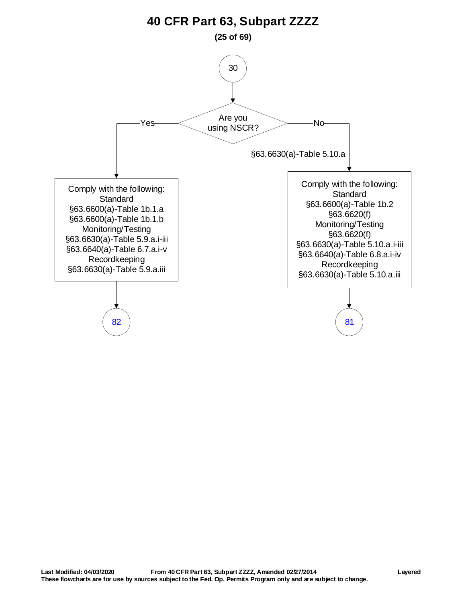<span id="page-24-0"></span>![](_page_24_Figure_0.jpeg)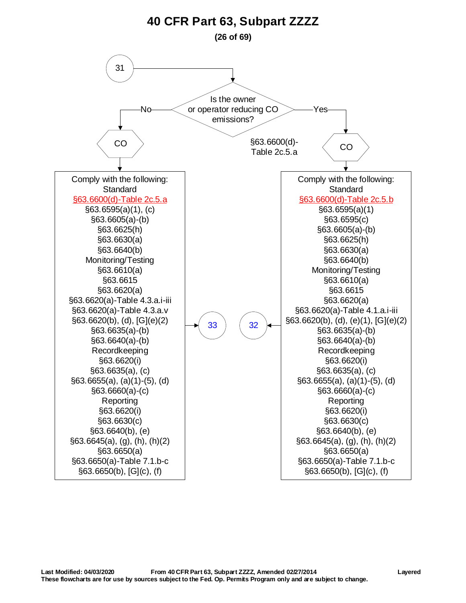<span id="page-25-0"></span>![](_page_25_Figure_0.jpeg)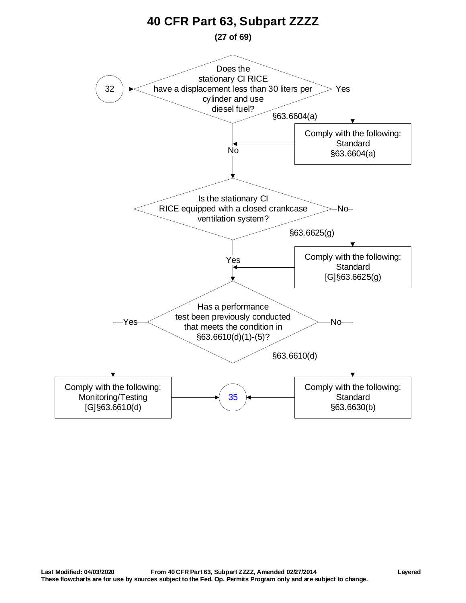<span id="page-26-0"></span>![](_page_26_Figure_0.jpeg)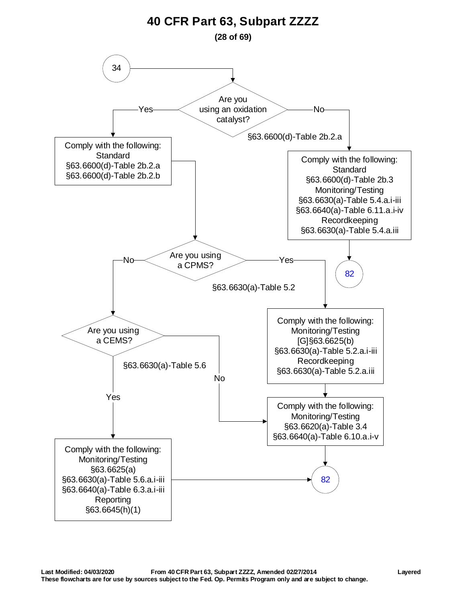<span id="page-27-0"></span>![](_page_27_Figure_0.jpeg)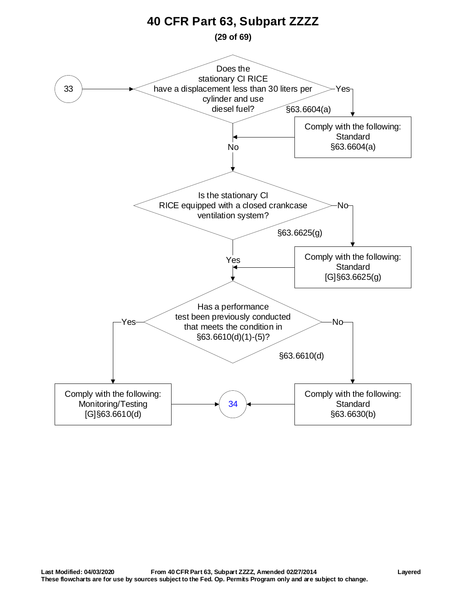<span id="page-28-0"></span>![](_page_28_Figure_0.jpeg)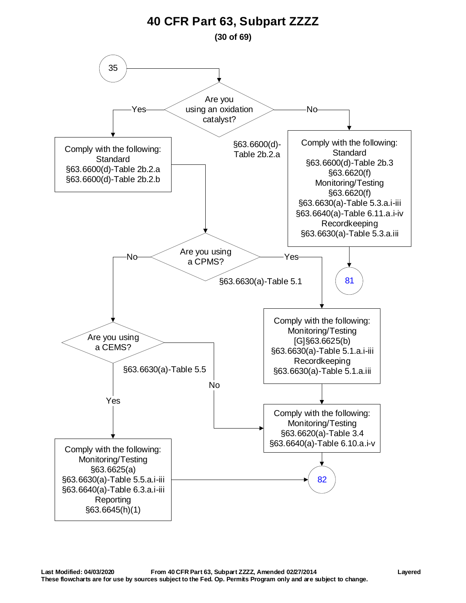<span id="page-29-0"></span>![](_page_29_Figure_0.jpeg)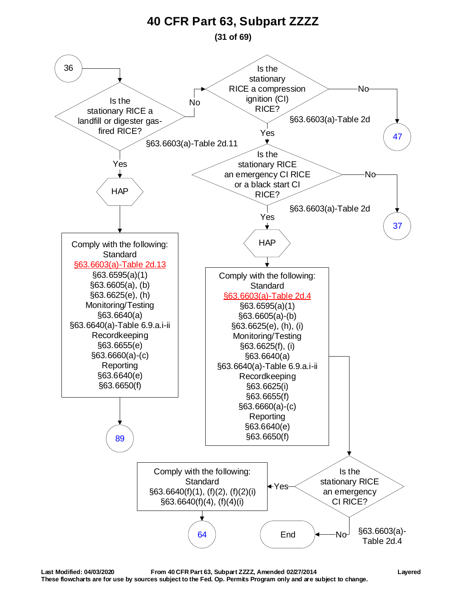**(31 of 69)**

<span id="page-30-0"></span>![](_page_30_Figure_2.jpeg)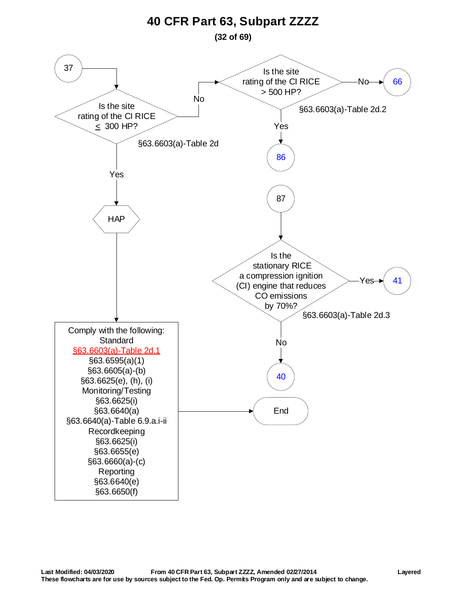<span id="page-31-0"></span>![](_page_31_Figure_0.jpeg)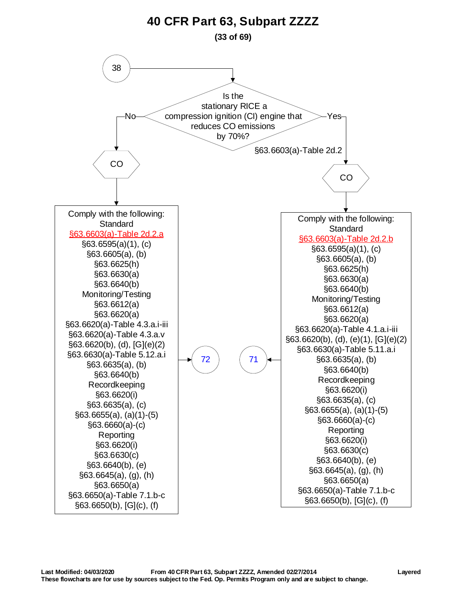<span id="page-32-0"></span>![](_page_32_Figure_0.jpeg)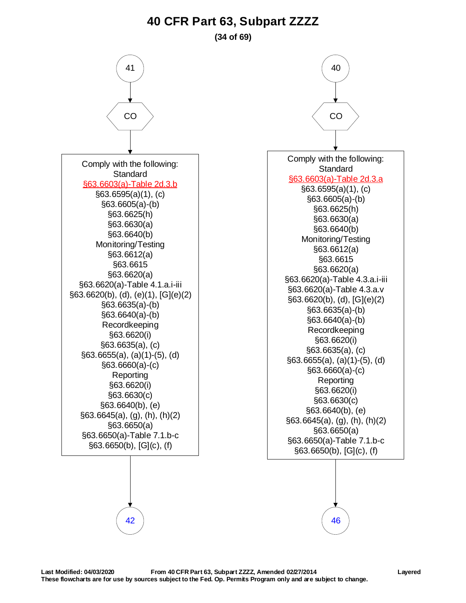#### **(34 of 69)**

<span id="page-33-0"></span>![](_page_33_Figure_2.jpeg)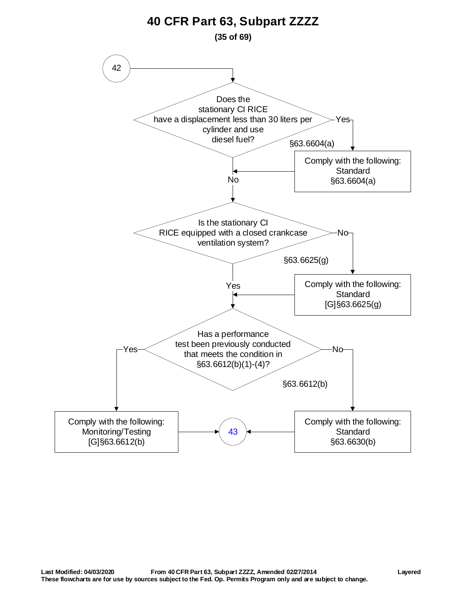<span id="page-34-0"></span>![](_page_34_Figure_0.jpeg)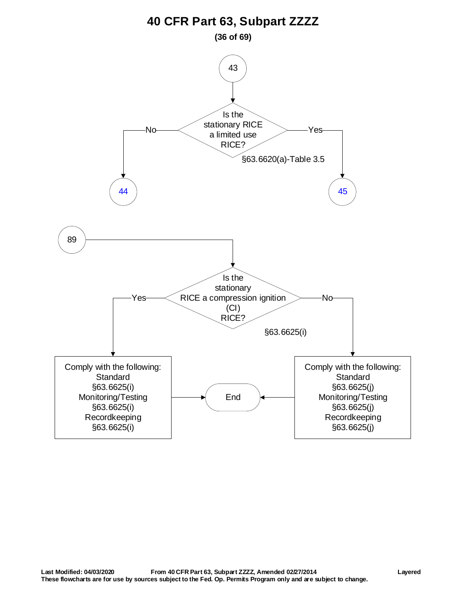<span id="page-35-0"></span>![](_page_35_Figure_0.jpeg)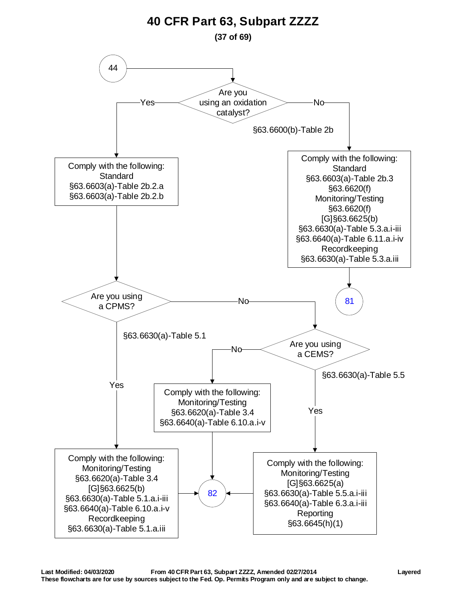<span id="page-36-0"></span>![](_page_36_Figure_0.jpeg)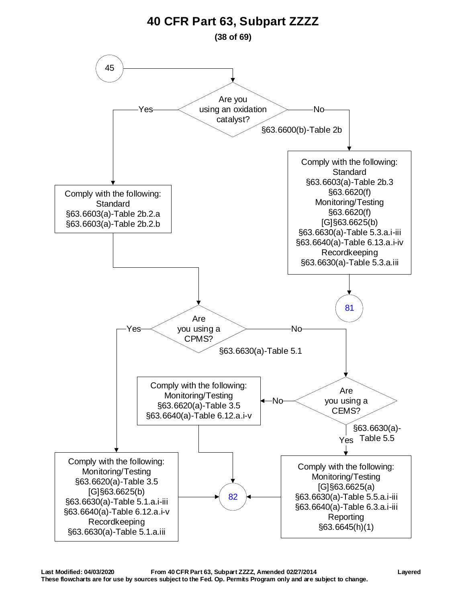<span id="page-37-0"></span>![](_page_37_Figure_0.jpeg)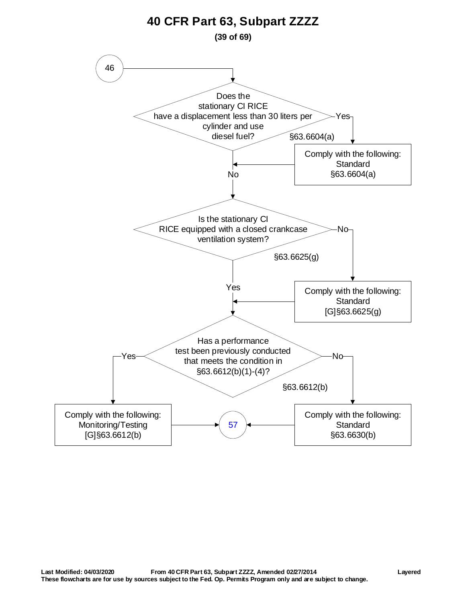<span id="page-38-0"></span>![](_page_38_Figure_0.jpeg)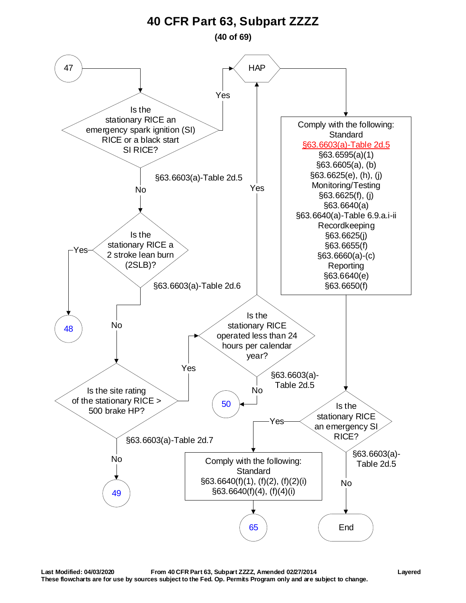**(40 of 69)**

<span id="page-39-0"></span>![](_page_39_Figure_2.jpeg)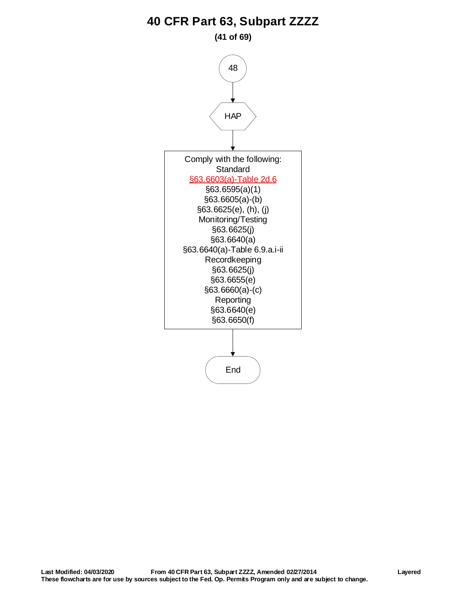**(41 of 69)**

<span id="page-40-0"></span>![](_page_40_Figure_2.jpeg)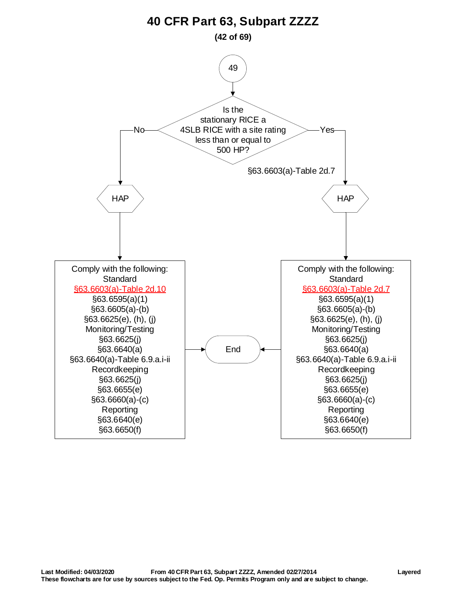<span id="page-41-0"></span>![](_page_41_Figure_0.jpeg)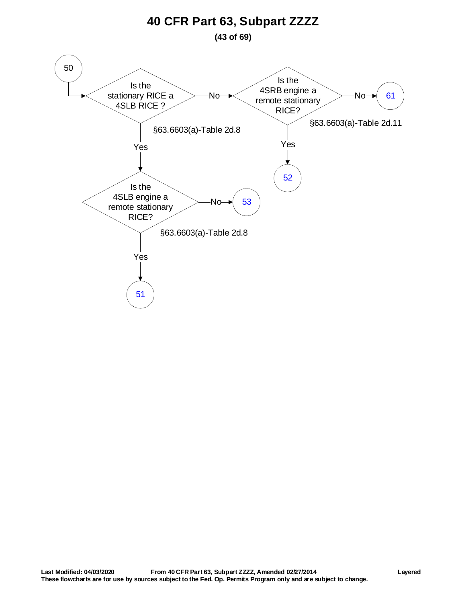<span id="page-42-0"></span>![](_page_42_Figure_0.jpeg)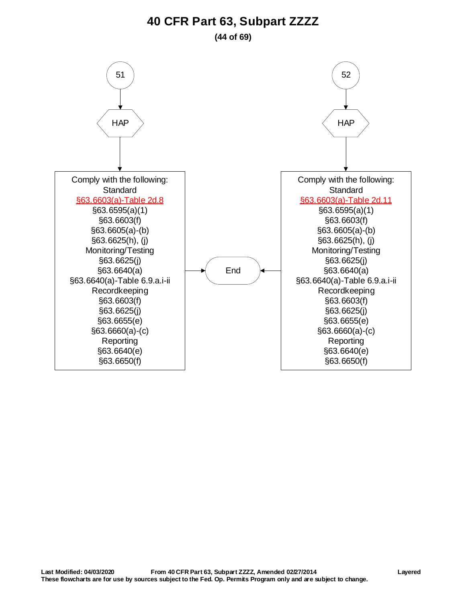**(44 of 69)**

<span id="page-43-0"></span>![](_page_43_Figure_2.jpeg)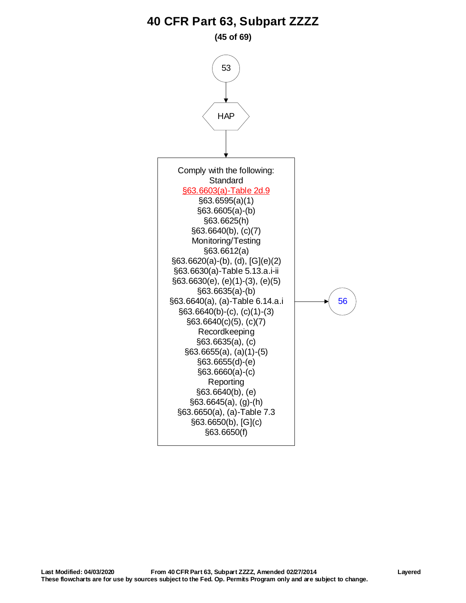**(45 of 69)**

<span id="page-44-0"></span>![](_page_44_Figure_2.jpeg)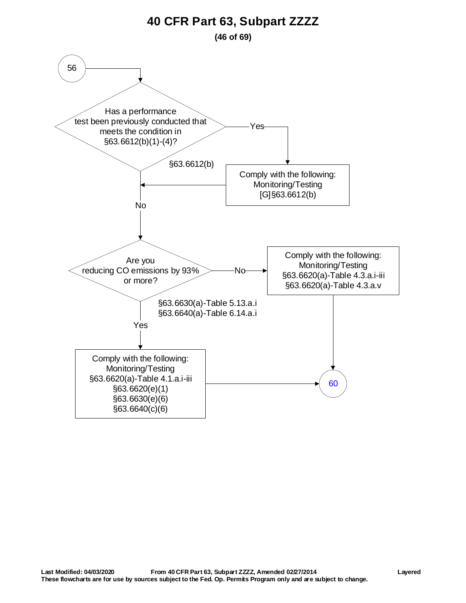**(46 of 69)**

<span id="page-45-0"></span>![](_page_45_Figure_2.jpeg)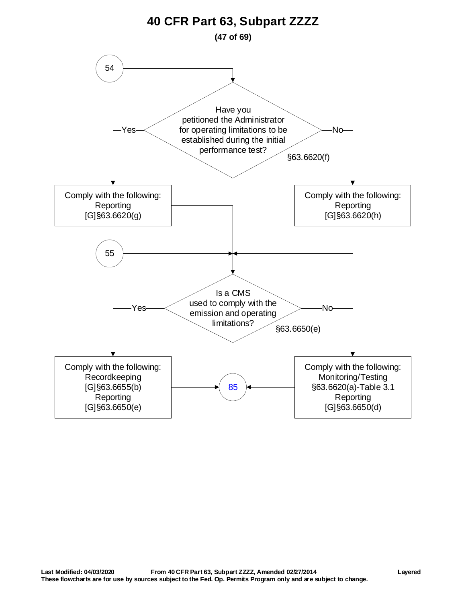<span id="page-46-0"></span>![](_page_46_Figure_0.jpeg)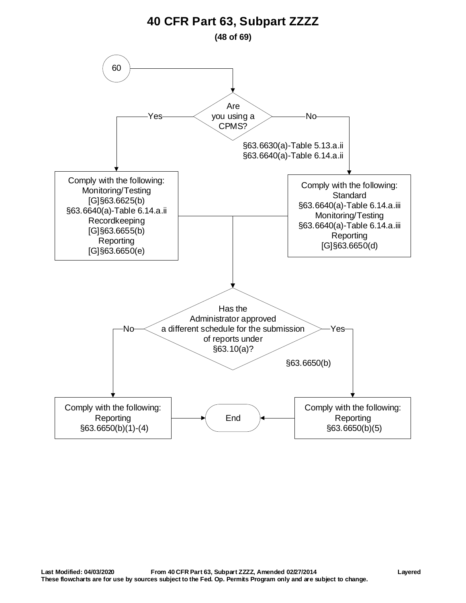<span id="page-47-0"></span>![](_page_47_Figure_0.jpeg)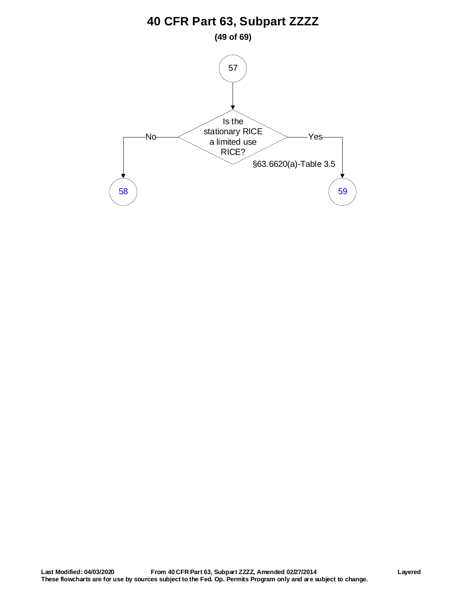<span id="page-48-0"></span>![](_page_48_Figure_0.jpeg)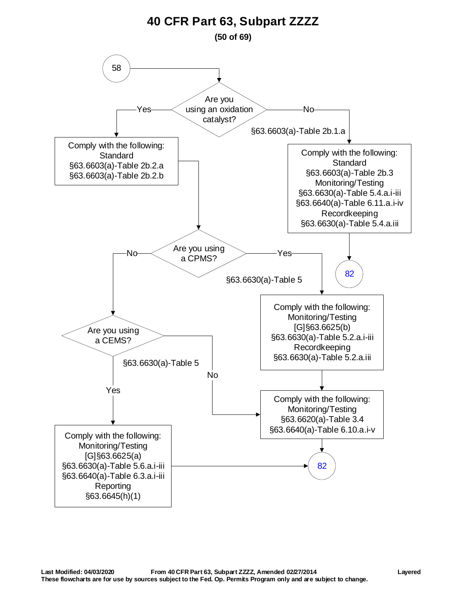<span id="page-49-0"></span>![](_page_49_Figure_0.jpeg)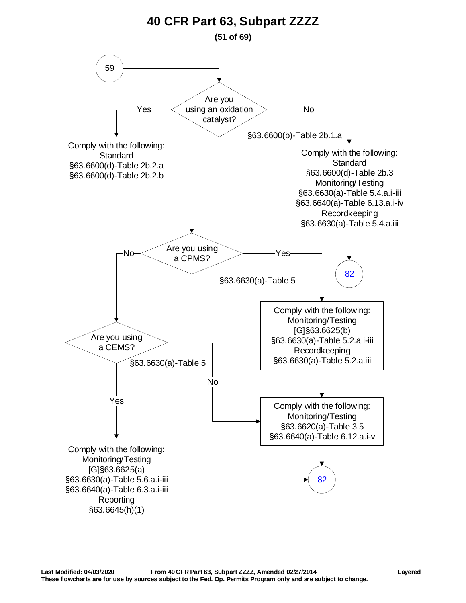<span id="page-50-0"></span>![](_page_50_Figure_0.jpeg)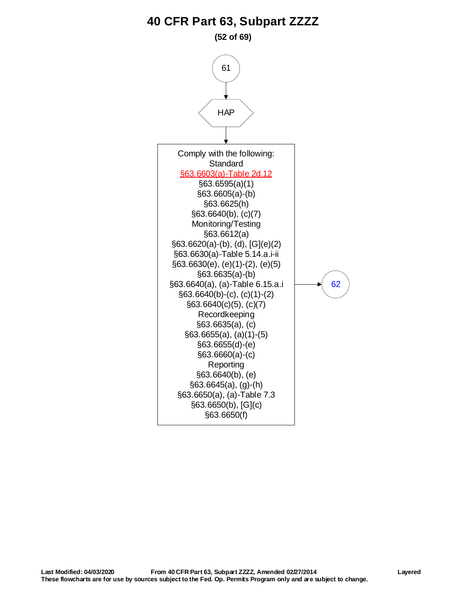#### **(52 of 69)**

<span id="page-51-0"></span>![](_page_51_Figure_2.jpeg)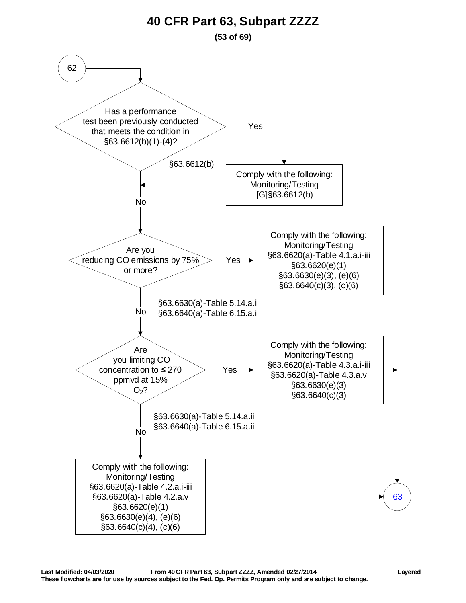**(53 of 69)**

<span id="page-52-0"></span>![](_page_52_Figure_2.jpeg)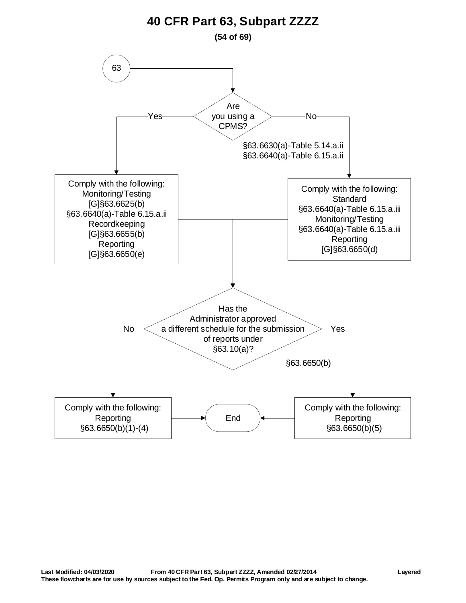<span id="page-53-0"></span>![](_page_53_Figure_0.jpeg)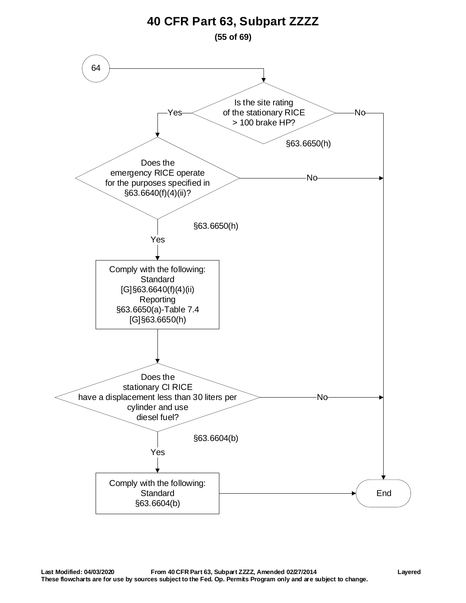<span id="page-54-0"></span>![](_page_54_Figure_0.jpeg)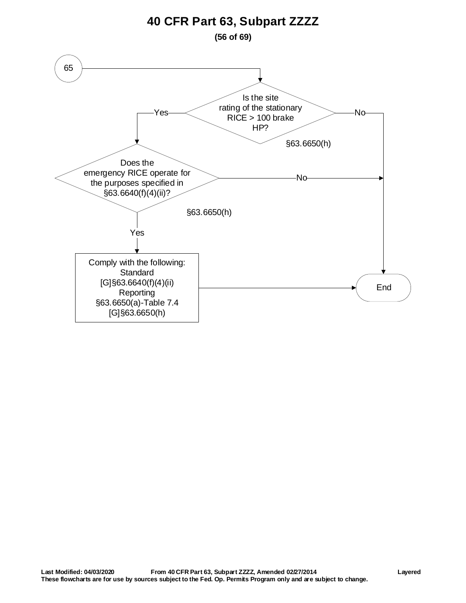**(56 of 69)**

<span id="page-55-0"></span>![](_page_55_Figure_2.jpeg)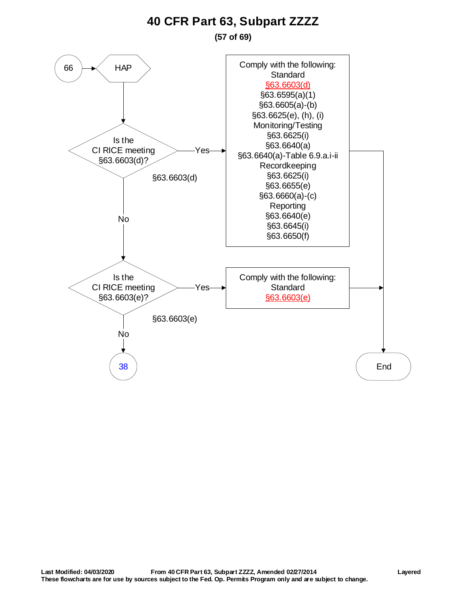**(57 of 69)**

![](_page_56_Figure_2.jpeg)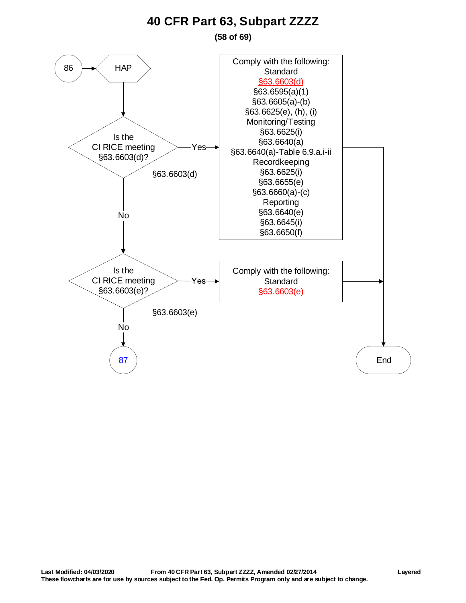**(58 of 69)**

<span id="page-57-0"></span>![](_page_57_Figure_2.jpeg)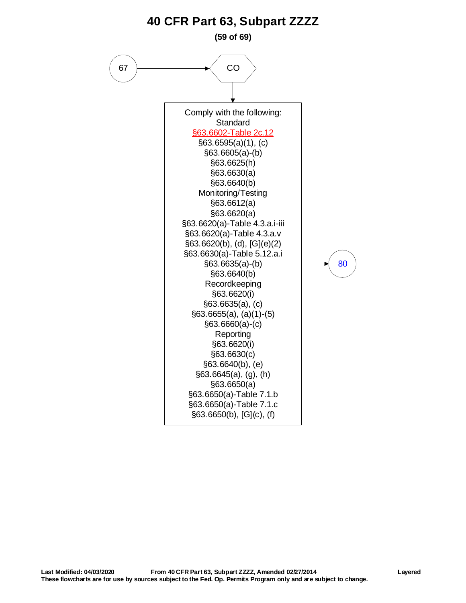<span id="page-58-0"></span>![](_page_58_Figure_0.jpeg)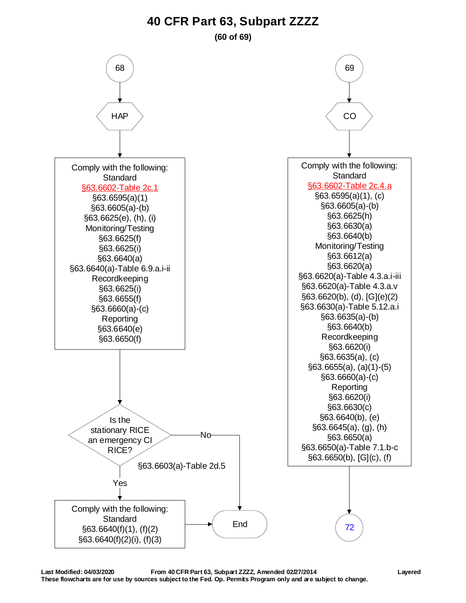#### **(60 of 69)**

<span id="page-59-0"></span>![](_page_59_Figure_2.jpeg)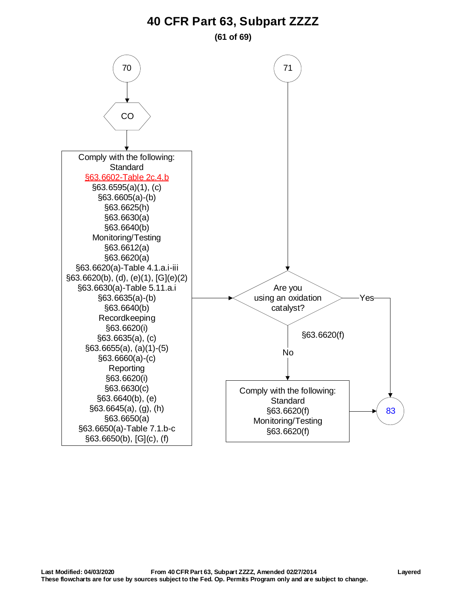**(61 of 69)**

<span id="page-60-0"></span>![](_page_60_Figure_2.jpeg)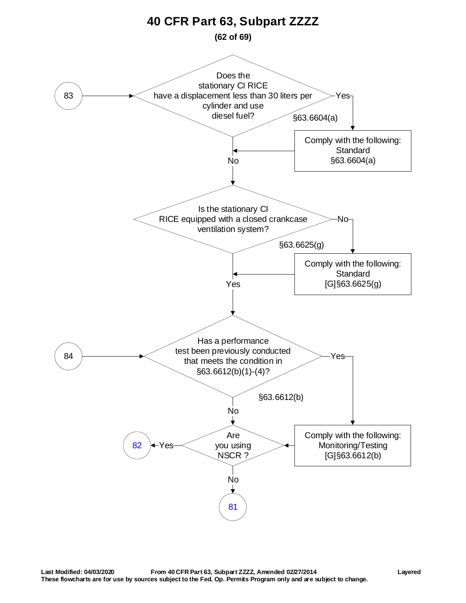<span id="page-61-0"></span>![](_page_61_Figure_0.jpeg)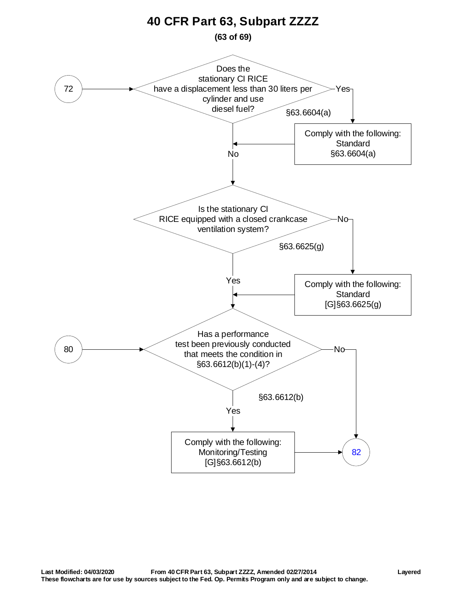<span id="page-62-0"></span>![](_page_62_Figure_0.jpeg)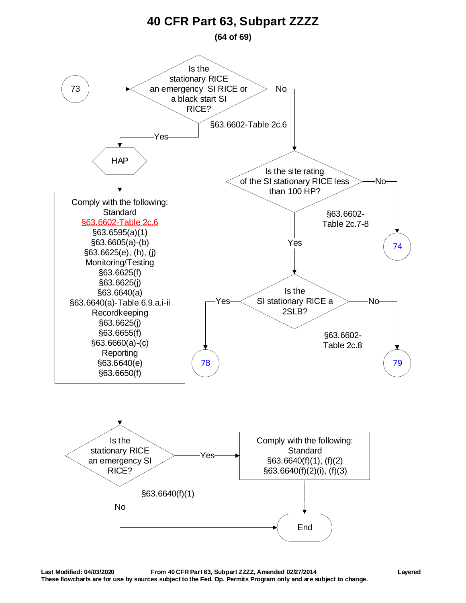<span id="page-63-0"></span>![](_page_63_Figure_0.jpeg)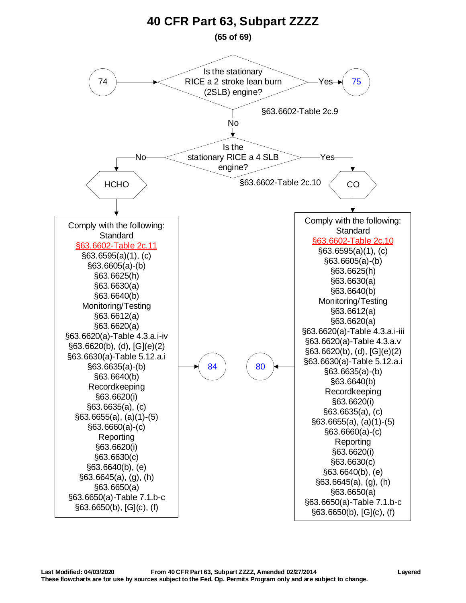<span id="page-64-0"></span>![](_page_64_Figure_0.jpeg)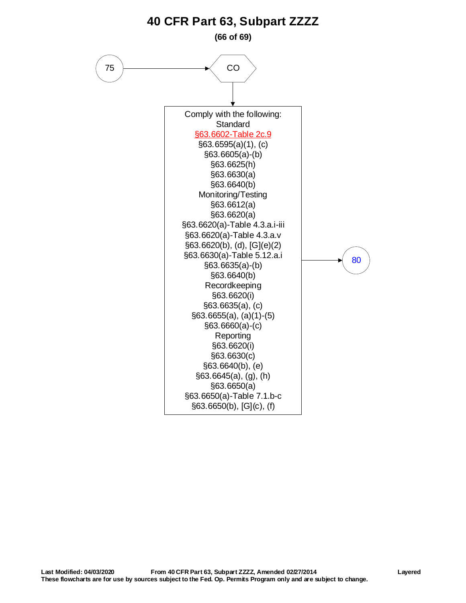<span id="page-65-0"></span>![](_page_65_Figure_0.jpeg)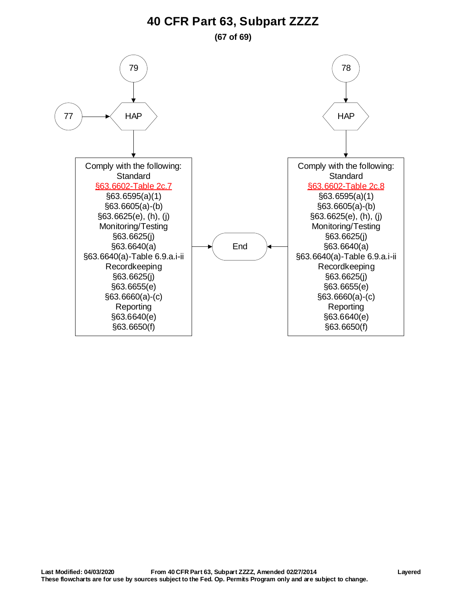<span id="page-66-1"></span><span id="page-66-0"></span>![](_page_66_Figure_0.jpeg)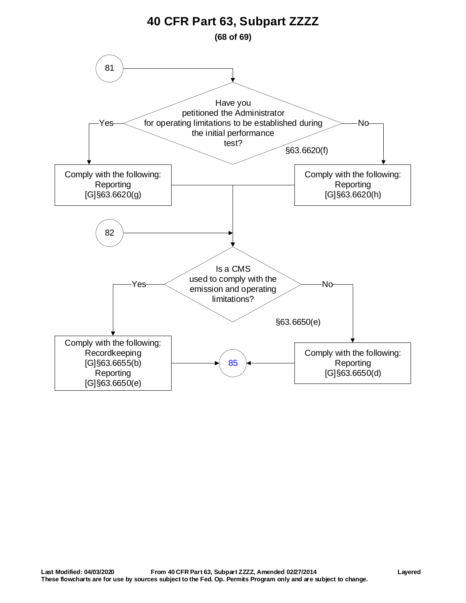<span id="page-67-0"></span>![](_page_67_Figure_0.jpeg)